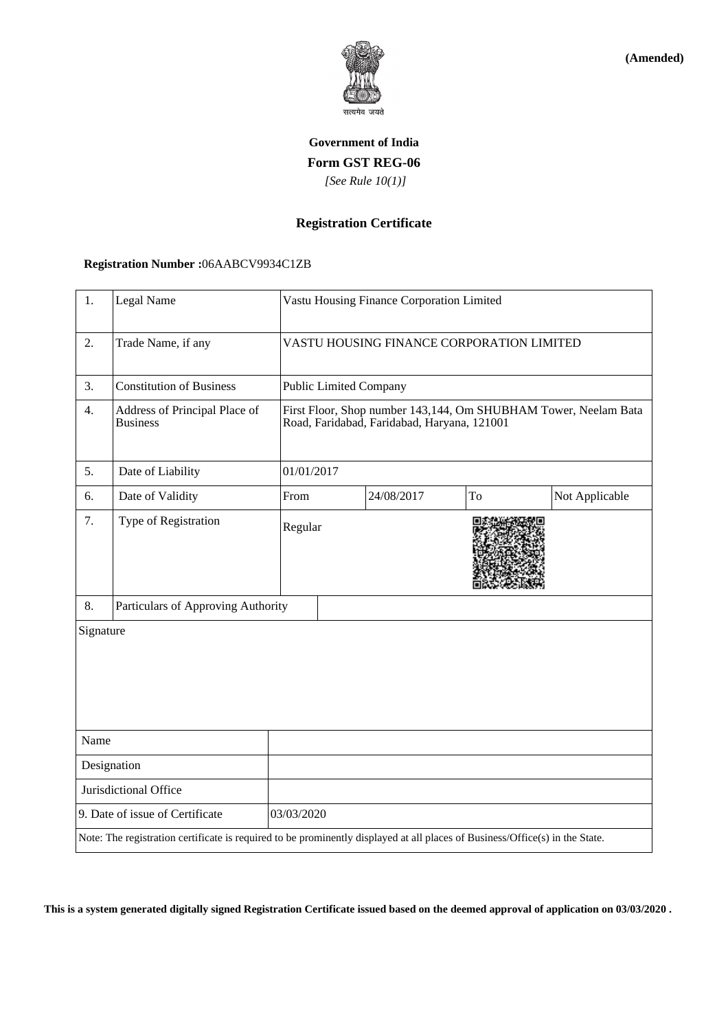

**(Amended)**

# **Government of India Form GST REG-06**  *[See Rule 10(1)]*

### **Registration Certificate**

#### **Registration Number :**06AABCV9934C1ZB

| 1.                                                                                                                           | Legal Name                                       |                                                                                                                | Vastu Housing Finance Corporation Limited |            |    |                |  |
|------------------------------------------------------------------------------------------------------------------------------|--------------------------------------------------|----------------------------------------------------------------------------------------------------------------|-------------------------------------------|------------|----|----------------|--|
| 2.                                                                                                                           | Trade Name, if any                               | VASTU HOUSING FINANCE CORPORATION LIMITED                                                                      |                                           |            |    |                |  |
| 3.                                                                                                                           | <b>Constitution of Business</b>                  |                                                                                                                | <b>Public Limited Company</b>             |            |    |                |  |
| 4.                                                                                                                           | Address of Principal Place of<br><b>Business</b> | First Floor, Shop number 143,144, Om SHUBHAM Tower, Neelam Bata<br>Road, Faridabad, Faridabad, Haryana, 121001 |                                           |            |    |                |  |
| 5.                                                                                                                           | Date of Liability                                |                                                                                                                | 01/01/2017                                |            |    |                |  |
| 6.                                                                                                                           | Date of Validity                                 | From                                                                                                           |                                           | 24/08/2017 | To | Not Applicable |  |
| 7.                                                                                                                           | Type of Registration                             | Regular                                                                                                        |                                           |            |    |                |  |
| 8.                                                                                                                           | Particulars of Approving Authority               |                                                                                                                |                                           |            |    |                |  |
| Signature                                                                                                                    |                                                  |                                                                                                                |                                           |            |    |                |  |
| Name                                                                                                                         |                                                  |                                                                                                                |                                           |            |    |                |  |
| Designation                                                                                                                  |                                                  |                                                                                                                |                                           |            |    |                |  |
| Jurisdictional Office                                                                                                        |                                                  |                                                                                                                |                                           |            |    |                |  |
| 9. Date of issue of Certificate                                                                                              |                                                  | 03/03/2020                                                                                                     |                                           |            |    |                |  |
| Note: The registration certificate is required to be prominently displayed at all places of Business/Office(s) in the State. |                                                  |                                                                                                                |                                           |            |    |                |  |

**This is a system generated digitally signed Registration Certificate issued based on the deemed approval of application on 03/03/2020 .**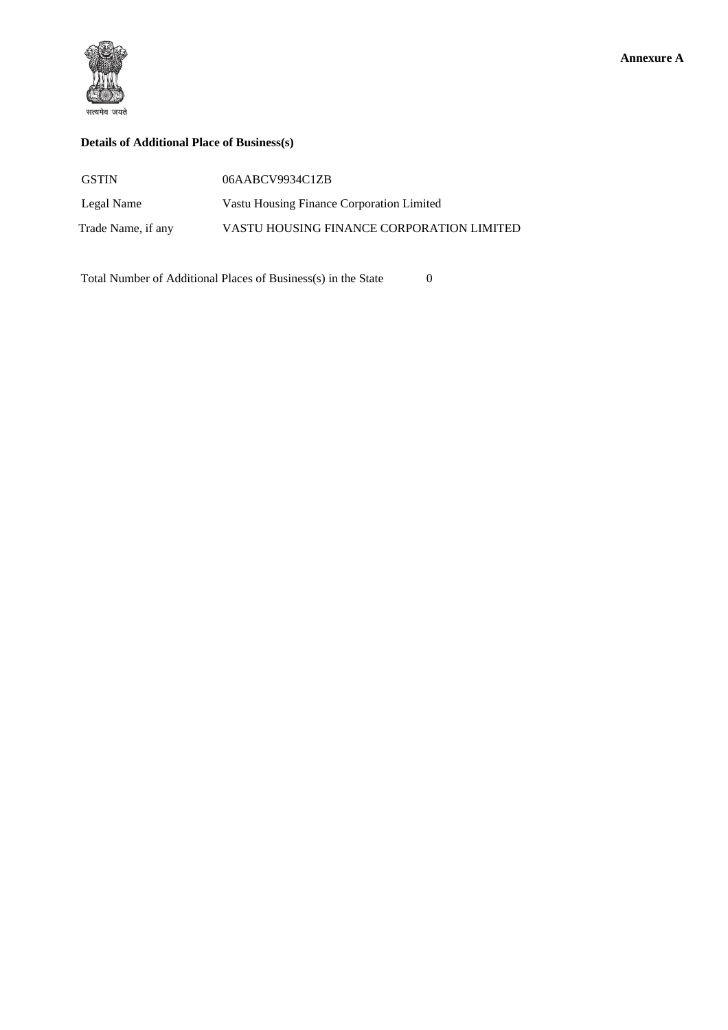



### **Details of Additional Place of Business(s)**

| <b>GSTIN</b>       | 06AABCV9934C1ZB                           |
|--------------------|-------------------------------------------|
| Legal Name         | Vastu Housing Finance Corporation Limited |
| Trade Name, if any | VASTU HOUSING FINANCE CORPORATION LIMITED |

Total Number of Additional Places of Business(s) in the State 0